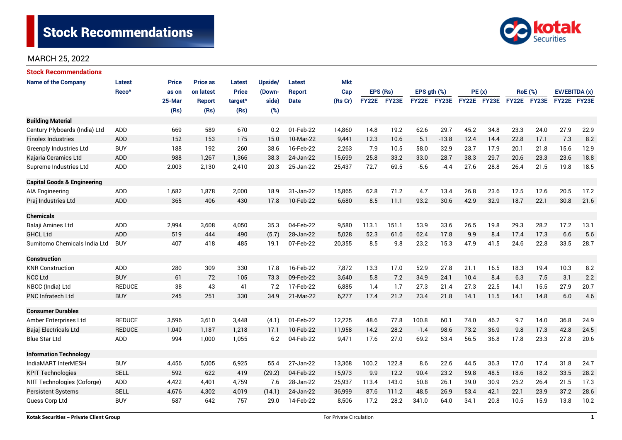# Stock Recommendations



## MARCH 25, 2022

| <b>Stock Recommendations</b>           |                   |              |                 |                     |                |               |            |              |              |                  |             |             |      |                |      |               |      |
|----------------------------------------|-------------------|--------------|-----------------|---------------------|----------------|---------------|------------|--------------|--------------|------------------|-------------|-------------|------|----------------|------|---------------|------|
| <b>Name of the Company</b>             | <b>Latest</b>     | <b>Price</b> | <b>Price as</b> | <b>Latest</b>       | <b>Upside/</b> | Latest        | <b>Mkt</b> |              |              |                  |             |             |      |                |      |               |      |
|                                        | Reco <sup>^</sup> | as on        | on latest       | <b>Price</b>        | (Down-         | <b>Report</b> | Cap        | EPS (Rs)     |              | EPS $qth$ $(\%)$ |             | PE(x)       |      | <b>RoE</b> (%) |      | EV/EBITDA (x) |      |
|                                        |                   | 25-Mar       | <b>Report</b>   | target <sup>^</sup> | side)          | <b>Date</b>   | (Rs Cr)    | <b>FY22E</b> | <b>FY23E</b> |                  | FY22E FY23E | FY22E FY23E |      | FY22E FY23E    |      | FY22E FY23E   |      |
|                                        |                   | (Rs)         | (Rs)            | (Rs)                | (%)            |               |            |              |              |                  |             |             |      |                |      |               |      |
| <b>Building Material</b>               |                   |              |                 |                     |                |               |            |              |              |                  |             |             |      |                |      |               |      |
| Century Plyboards (India) Ltd          | <b>ADD</b>        | 669          | 589             | 670                 | 0.2            | 01-Feb-22     | 14,860     | 14.8         | 19.2         | 62.6             | 29.7        | 45.2        | 34.8 | 23.3           | 24.0 | 27.9          | 22.9 |
| <b>Finolex Industries</b>              | ADD               | 152          | 153             | 175                 | 15.0           | 10-Mar-22     | 9,441      | 12.3         | 10.6         | 5.1              | $-13.8$     | 12.4        | 14.4 | 22.8           | 17.1 | 7.3           | 8.2  |
| <b>Greenply Industries Ltd</b>         | <b>BUY</b>        | 188          | 192             | 260                 | 38.6           | 16-Feb-22     | 2,263      | 7.9          | 10.5         | 58.0             | 32.9        | 23.7        | 17.9 | 20.1           | 21.8 | 15.6          | 12.9 |
| Kajaria Ceramics Ltd                   | <b>ADD</b>        | 988          | 1,267           | 1,366               | 38.3           | 24-Jan-22     | 15,699     | 25.8         | 33.2         | 33.0             | 28.7        | 38.3        | 29.7 | 20.6           | 23.3 | 23.6          | 18.8 |
| Supreme Industries Ltd                 | <b>ADD</b>        | 2,003        | 2,130           | 2,410               | 20.3           | 25-Jan-22     | 25,437     | 72.7         | 69.5         | $-5.6$           | $-4.4$      | 27.6        | 28.8 | 26.4           | 21.5 | 19.8          | 18.5 |
| <b>Capital Goods &amp; Engineering</b> |                   |              |                 |                     |                |               |            |              |              |                  |             |             |      |                |      |               |      |
| <b>AIA Engineering</b>                 | ADD               | 1,682        | 1,878           | 2,000               | 18.9           | 31-Jan-22     | 15,865     | 62.8         | 71.2         | 4.7              | 13.4        | 26.8        | 23.6 | 12.5           | 12.6 | 20.5          | 17.2 |
| Praj Industries Ltd                    | <b>ADD</b>        | 365          | 406             | 430                 | 17.8           | 10-Feb-22     | 6,680      | 8.5          | 11.1         | 93.2             | 30.6        | 42.9        | 32.9 | 18.7           | 22.1 | 30.8          | 21.6 |
| <b>Chemicals</b>                       |                   |              |                 |                     |                |               |            |              |              |                  |             |             |      |                |      |               |      |
| Balaji Amines Ltd                      | <b>ADD</b>        | 2,994        | 3,608           | 4,050               | 35.3           | 04-Feb-22     | 9,580      | 113.1        | 151.1        | 53.9             | 33.6        | 26.5        | 19.8 | 29.3           | 28.2 | 17.2          | 13.1 |
| <b>GHCL Ltd</b>                        | <b>ADD</b>        | 519          | 444             | 490                 | (5.7)          | 28-Jan-22     | 5,028      | 52.3         | 61.6         | 62.4             | 17.8        | 9.9         | 8.4  | 17.4           | 17.3 | 6.6           | 5.6  |
| Sumitomo Chemicals India Ltd           | <b>BUY</b>        | 407          | 418             | 485                 | 19.1           | 07-Feb-22     | 20,355     | 8.5          | 9.8          | 23.2             | 15.3        | 47.9        | 41.5 | 24.6           | 22.8 | 33.5          | 28.7 |
| <b>Construction</b>                    |                   |              |                 |                     |                |               |            |              |              |                  |             |             |      |                |      |               |      |
| <b>KNR Construction</b>                | <b>ADD</b>        | 280          | 309             | 330                 | 17.8           | 16-Feb-22     | 7,872      | 13.3         | 17.0         | 52.9             | 27.8        | 21.1        | 16.5 | 18.3           | 19.4 | 10.3          | 8.2  |
| <b>NCC Ltd</b>                         | <b>BUY</b>        | 61           | 72              | 105                 | 73.3           | 09-Feb-22     | 3,640      | 5.8          | 7.2          | 34.9             | 24.1        | 10.4        | 8.4  | 6.3            | 7.5  | 3.1           | 2.2  |
| NBCC (India) Ltd                       | <b>REDUCE</b>     | 38           | 43              | 41                  | 7.2            | 17-Feb-22     | 6,885      | 1.4          | 1.7          | 27.3             | 21.4        | 27.3        | 22.5 | 14.1           | 15.5 | 27.9          | 20.7 |
| PNC Infratech Ltd                      | <b>BUY</b>        | 245          | 251             | 330                 | 34.9           | 21-Mar-22     | 6,277      | 17.4         | 21.2         | 23.4             | 21.8        | 14.1        | 11.5 | 14.1           | 14.8 | 6.0           | 4.6  |
| <b>Consumer Durables</b>               |                   |              |                 |                     |                |               |            |              |              |                  |             |             |      |                |      |               |      |
| Amber Enterprises Ltd                  | <b>REDUCE</b>     | 3,596        | 3,610           | 3,448               | (4.1)          | 01-Feb-22     | 12,225     | 48.6         | 77.8         | 100.8            | 60.1        | 74.0        | 46.2 | 9.7            | 14.0 | 36.8          | 24.9 |
| Bajaj Electricals Ltd                  | <b>REDUCE</b>     | 1,040        | 1,187           | 1,218               | 17.1           | 10-Feb-22     | 11,958     | 14.2         | 28.2         | $-1.4$           | 98.6        | 73.2        | 36.9 | 9.8            | 17.3 | 42.8          | 24.5 |
| <b>Blue Star Ltd</b>                   | <b>ADD</b>        | 994          | 1,000           | 1,055               | 6.2            | 04-Feb-22     | 9,471      | 17.6         | 27.0         | 69.2             | 53.4        | 56.5        | 36.8 | 17.8           | 23.3 | 27.8          | 20.6 |
| <b>Information Technology</b>          |                   |              |                 |                     |                |               |            |              |              |                  |             |             |      |                |      |               |      |
| IndiaMART InterMESH                    | <b>BUY</b>        | 4,456        | 5,005           | 6,925               | 55.4           | 27-Jan-22     | 13,368     | 100.2        | 122.8        | 8.6              | 22.6        | 44.5        | 36.3 | 17.0           | 17.4 | 31.8          | 24.7 |
| <b>KPIT Technologies</b>               | <b>SELL</b>       | 592          | 622             | 419                 | (29.2)         | 04-Feb-22     | 15,973     | 9.9          | 12.2         | 90.4             | 23.2        | 59.8        | 48.5 | 18.6           | 18.2 | 33.5          | 28.2 |
| NIIT Technologies (Coforge)            | ADD               | 4,422        | 4,401           | 4,759               | 7.6            | 28-Jan-22     | 25,937     | 113.4        | 143.0        | 50.8             | 26.1        | 39.0        | 30.9 | 25.2           | 26.4 | 21.5          | 17.3 |
| <b>Persistent Systems</b>              | <b>SELL</b>       | 4,676        | 4,302           | 4,019               | (14.1)         | 24-Jan-22     | 36,999     | 87.6         | 111.2        | 48.5             | 26.9        | 53.4        | 42.1 | 22.1           | 23.9 | 37.2          | 28.6 |
| Quess Corp Ltd                         | <b>BUY</b>        | 587          | 642             | 757                 | 29.0           | 14-Feb-22     | 8,506      | 17.2         | 28.2         | 341.0            | 64.0        | 34.1        | 20.8 | 10.5           | 15.9 | 13.8          | 10.2 |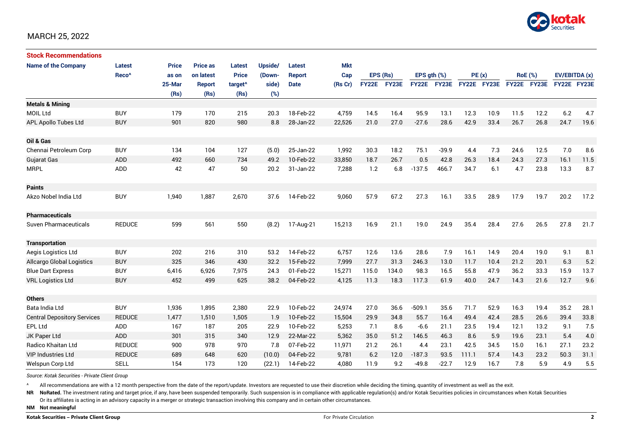

#### MARCH 25, 2022

| <b>Stock Recommendations</b>       |                   |              |                 |                     |         |               |         |             |       |                  |             |             |      |                |      |               |      |
|------------------------------------|-------------------|--------------|-----------------|---------------------|---------|---------------|---------|-------------|-------|------------------|-------------|-------------|------|----------------|------|---------------|------|
| <b>Name of the Company</b>         | <b>Latest</b>     | <b>Price</b> | <b>Price as</b> | <b>Latest</b>       | Upside/ | Latest        | Mkt     |             |       |                  |             |             |      |                |      |               |      |
|                                    | Reco <sup>^</sup> | as on        | on latest       | <b>Price</b>        | (Down-  | <b>Report</b> | Cap     | EPS (Rs)    |       | EPS $qth$ $(\%)$ |             | PE(x)       |      | <b>RoE</b> (%) |      | EV/EBITDA (x) |      |
|                                    |                   | 25-Mar       | <b>Report</b>   | target <sup>^</sup> | side)   | <b>Date</b>   | (Rs Cr) | FY22E FY23E |       |                  | FY22E FY23E | FY22E FY23E |      | FY22E FY23E    |      | FY22E FY23E   |      |
|                                    |                   | (Rs)         | (Rs)            | (Rs)                | (%)     |               |         |             |       |                  |             |             |      |                |      |               |      |
| <b>Metals &amp; Mining</b>         |                   |              |                 |                     |         |               |         |             |       |                  |             |             |      |                |      |               |      |
| <b>MOIL Ltd</b>                    | <b>BUY</b>        | 179          | 170             | 215                 | 20.3    | 18-Feb-22     | 4,759   | 14.5        | 16.4  | 95.9             | 13.1        | 12.3        | 10.9 | 11.5           | 12.2 | 6.2           | 4.7  |
| APL Apollo Tubes Ltd               | <b>BUY</b>        | 901          | 820             | 980                 | 8.8     | 28-Jan-22     | 22,526  | 21.0        | 27.0  | $-27.6$          | 28.6        | 42.9        | 33.4 | 26.7           | 26.8 | 24.7          | 19.6 |
|                                    |                   |              |                 |                     |         |               |         |             |       |                  |             |             |      |                |      |               |      |
| Oil & Gas                          |                   |              |                 |                     |         |               |         |             |       |                  |             |             |      |                |      |               |      |
| Chennai Petroleum Corp             | <b>BUY</b>        | 134          | 104             | 127                 | (5.0)   | 25-Jan-22     | 1,992   | 30.3        | 18.2  | 75.1             | $-39.9$     | 4.4         | 7.3  | 24.6           | 12.5 | 7.0           | 8.6  |
| Gujarat Gas                        | <b>ADD</b>        | 492          | 660             | 734                 | 49.2    | 10-Feb-22     | 33,850  | 18.7        | 26.7  | 0.5              | 42.8        | 26.3        | 18.4 | 24.3           | 27.3 | 16.1          | 11.5 |
| <b>MRPL</b>                        | ADD               | 42           | 47              | 50                  | 20.2    | 31-Jan-22     | 7,288   | 1.2         | 6.8   | $-137.5$         | 466.7       | 34.7        | 6.1  | 4.7            | 23.8 | 13.3          | 8.7  |
|                                    |                   |              |                 |                     |         |               |         |             |       |                  |             |             |      |                |      |               |      |
| <b>Paints</b>                      |                   |              |                 |                     |         |               |         |             |       |                  |             |             |      |                |      |               |      |
| Akzo Nobel India Ltd               | <b>BUY</b>        | 1,940        | 1,887           | 2,670               | 37.6    | 14-Feb-22     | 9,060   | 57.9        | 67.2  | 27.3             | 16.1        | 33.5        | 28.9 | 17.9           | 19.7 | 20.2          | 17.2 |
|                                    |                   |              |                 |                     |         |               |         |             |       |                  |             |             |      |                |      |               |      |
| <b>Pharmaceuticals</b>             |                   |              |                 |                     |         |               |         |             |       |                  |             |             |      |                |      |               |      |
| <b>Suven Pharmaceuticals</b>       | <b>REDUCE</b>     | 599          | 561             | 550                 | (8.2)   | 17-Aug-21     | 15,213  | 16.9        | 21.1  | 19.0             | 24.9        | 35.4        | 28.4 | 27.6           | 26.5 | 27.8          | 21.7 |
|                                    |                   |              |                 |                     |         |               |         |             |       |                  |             |             |      |                |      |               |      |
| <b>Transportation</b>              |                   |              |                 |                     |         |               |         |             |       |                  |             |             |      |                |      |               |      |
| Aegis Logistics Ltd                | <b>BUY</b>        | 202          | 216             | 310                 | 53.2    | 14-Feb-22     | 6,757   | 12.6        | 13.6  | 28.6             | 7.9         | 16.1        | 14.9 | 20.4           | 19.0 | 9.1           | 8.1  |
| <b>Allcargo Global Logistics</b>   | <b>BUY</b>        | 325          | 346             | 430                 | 32.2    | 15-Feb-22     | 7.999   | 27.7        | 31.3  | 246.3            | 13.0        | 11.7        | 10.4 | 21.2           | 20.1 | 6.3           | 5.2  |
| <b>Blue Dart Express</b>           | <b>BUY</b>        | 6,416        | 6,926           | 7,975               | 24.3    | 01-Feb-22     | 15,271  | 115.0       | 134.0 | 98.3             | 16.5        | 55.8        | 47.9 | 36.2           | 33.3 | 15.9          | 13.7 |
| <b>VRL Logistics Ltd</b>           | <b>BUY</b>        | 452          | 499             | 625                 | 38.2    | 04-Feb-22     | 4,125   | 11.3        | 18.3  | 117.3            | 61.9        | 40.0        | 24.7 | 14.3           | 21.6 | 12.7          | 9.6  |
|                                    |                   |              |                 |                     |         |               |         |             |       |                  |             |             |      |                |      |               |      |
| <b>Others</b>                      |                   |              |                 |                     |         |               |         |             |       |                  |             |             |      |                |      |               |      |
| Bata India Ltd                     | <b>BUY</b>        | 1,936        | 1,895           | 2,380               | 22.9    | 10-Feb-22     | 24,974  | 27.0        | 36.6  | $-509.1$         | 35.6        | 71.7        | 52.9 | 16.3           | 19.4 | 35.2          | 28.1 |
| <b>Central Depository Services</b> | <b>REDUCE</b>     | 1.477        | 1,510           | 1,505               | 1.9     | 10-Feb-22     | 15,504  | 29.9        | 34.8  | 55.7             | 16.4        | 49.4        | 42.4 | 28.5           | 26.6 | 39.4          | 33.8 |
| <b>EPL Ltd</b>                     | <b>ADD</b>        | 167          | 187             | 205                 | 22.9    | 10-Feb-22     | 5,253   | 7.1         | 8.6   | $-6.6$           | 21.1        | 23.5        | 19.4 | 12.1           | 13.2 | 9.1           | 7.5  |
| JK Paper Ltd                       | ADD               | 301          | 315             | 340                 | 12.9    | 22-Mar-22     | 5,362   | 35.0        | 51.2  | 146.5            | 46.3        | 8.6         | 5.9  | 19.6           | 23.1 | 5.4           | 4.0  |
| Radico Khaitan Ltd                 | <b>REDUCE</b>     | 900          | 978             | 970                 | 7.8     | 07-Feb-22     | 11,971  | 21.2        | 26.1  | 4.4              | 23.1        | 42.5        | 34.5 | 15.0           | 16.1 | 27.1          | 23.2 |
| <b>VIP Industries Ltd</b>          | <b>REDUCE</b>     | 689          | 648             | 620                 | (10.0)  | 04-Feb-22     | 9,781   | 6.2         | 12.0  | $-187.3$         | 93.5        | 111.1       | 57.4 | 14.3           | 23.2 | 50.3          | 31.1 |
| Welspun Corp Ltd                   | <b>SELL</b>       | 154          | 173             | 120                 | (22.1)  | 14-Feb-22     | 4,080   | 11.9        | 9.2   | $-49.8$          | $-22.7$     | 12.9        | 16.7 | 7.8            | 5.9  | 4.9           | 5.5  |

*Source: Kotak Securities - Private Client Group*

^ All recommendations are with a 12 month perspective from the date of the report/update. Investors are requested to use their discretion while deciding the timing, quantity of investment as well as the exit.

NR NoRated. The investment rating and target price, if any, have been suspended temporarily. Such suspension is in compliance with applicable regulation(s) and/or Kotak Securities policies in circumstances when Kotak Secur Or its affiliates is acting in an advisory capacity in a merger or strategic transaction involving this company and in certain other circumstances.

**NM Not meaningful**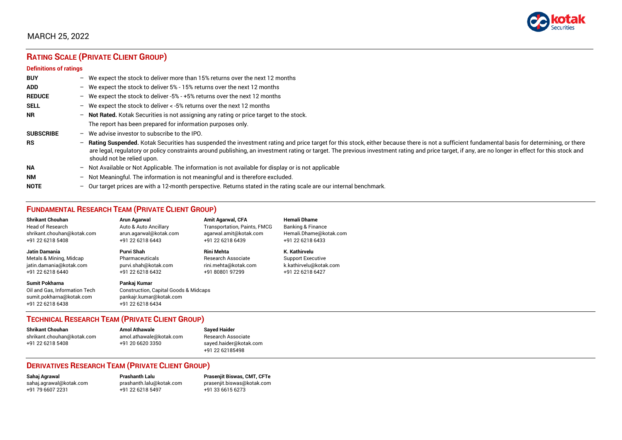

## MARCH 25, 2022

## **RATING SCALE (PRIVATE CLIENT GROUP)**

#### **Definitions of ratings**

| <b>BUY</b>       | - We expect the stock to deliver more than 15% returns over the next 12 months                                                                                                                                                                                                                                                                                                                                                     |
|------------------|------------------------------------------------------------------------------------------------------------------------------------------------------------------------------------------------------------------------------------------------------------------------------------------------------------------------------------------------------------------------------------------------------------------------------------|
| <b>ADD</b>       | - We expect the stock to deliver 5% - 15% returns over the next 12 months                                                                                                                                                                                                                                                                                                                                                          |
| <b>REDUCE</b>    | - We expect the stock to deliver -5% - +5% returns over the next 12 months                                                                                                                                                                                                                                                                                                                                                         |
| <b>SELL</b>      | - We expect the stock to deliver $\lt$ -5% returns over the next 12 months                                                                                                                                                                                                                                                                                                                                                         |
| <b>NR</b>        | - Not Rated. Kotak Securities is not assigning any rating or price target to the stock.                                                                                                                                                                                                                                                                                                                                            |
|                  | The report has been prepared for information purposes only.                                                                                                                                                                                                                                                                                                                                                                        |
| <b>SUBSCRIBE</b> | $-$ We advise investor to subscribe to the IPO.                                                                                                                                                                                                                                                                                                                                                                                    |
| <b>RS</b>        | - Rating Suspended. Kotak Securities has suspended the investment rating and price target for this stock, either because there is not a sufficient fundamental basis for determining, or there<br>are legal, regulatory or policy constraints around publishing, an investment rating or target. The previous investment rating and price target, if any, are no longer in effect for this stock and<br>should not be relied upon. |
| <b>NA</b>        | $-$ Not Available or Not Applicable. The information is not available for display or is not applicable                                                                                                                                                                                                                                                                                                                             |
| <b>NM</b>        | - Not Meaningful. The information is not meaningful and is therefore excluded.                                                                                                                                                                                                                                                                                                                                                     |
| <b>NOTE</b>      | - Our target prices are with a 12-month perspective. Returns stated in the rating scale are our internal benchmark.                                                                                                                                                                                                                                                                                                                |

## **FUNDAMENTAL RESEARCH TEAM (PRIVATE CLIENT GROUP)**

| <b>Shrikant Chouhan</b>                                                                                | <b>Arun Agarwal</b>                                                                                  | <b>Amit Agarwal, CFA</b>     | <b>Hemali Dhame</b>      |
|--------------------------------------------------------------------------------------------------------|------------------------------------------------------------------------------------------------------|------------------------------|--------------------------|
| Head of Research                                                                                       | Auto & Auto Ancillary                                                                                | Transportation, Paints, FMCG | Banking & Finance        |
| shrikant.chouhan@kotak.com                                                                             | arun.agarwal@kotak.com                                                                               | agarwal.amit@kotak.com       | Hemali.Dhame@kotak.com   |
| +91 22 6218 5408                                                                                       | +91 22 6218 6443                                                                                     | +91 22 6218 6439             | +91 22 6218 6433         |
| Jatin Damania                                                                                          | Purvi Shah                                                                                           | <b>Rini Mehta</b>            | K. Kathirvelu            |
| Metals & Mining, Midcap                                                                                | Pharmaceuticals                                                                                      | Research Associate           | <b>Support Executive</b> |
| jatin.damania@kotak.com                                                                                | purvi.shah@kotak.com                                                                                 | rini.mehta@kotak.com         | k.kathirvelu@kotak.com   |
| +91 22 6218 6440                                                                                       | +91 22 6218 6432                                                                                     | +91 80801 97299              | +91 22 6218 6427         |
| <b>Sumit Pokharna</b><br>Oil and Gas. Information Tech<br>sumit.pokharna@kotak.com<br>+91 22 6218 6438 | Pankaj Kumar<br>Construction, Capital Goods & Midcaps<br>pankajr.kumar@kotak.com<br>+91 22 6218 6434 |                              |                          |

## **TECHNICAL RESEARCH TEAM (PRIVATE CLIENT GROUP)**

| <b>Shrikant Chouhan</b>    | <b>Amol Athawale</b>    | S. |
|----------------------------|-------------------------|----|
| shrikant.chouhan@kotak.com | amol.athawale@kotak.com | R٥ |
| +91 22 6218 5408           | +91 20 6620 3350        | Sá |
|                            |                         |    |

#### **Shrikant Chouhan Amol Athawale Sayed Haider** shrikant.com<br>kant.com associate ayed.haider@kotak.com +91 22 62185498

#### **DERIVATIVES RESEARCH TEAM (PRIVATE CLIENT GROUP)**

+91 22 6218 5497

**Sahaj Agrawal Prashanth Lalu Prasenjit Biswas, CMT, CFTe** [sahaj.agrawal@kotak.com](mailto:sahaj.agrawal@kotak.com) [prashanth.lalu@kotak.com](mailto:prashanth.lalu@kotak.com) [prasenjit.biswas@kotak.com](mailto:prasenjit.biswas@kotak.com)